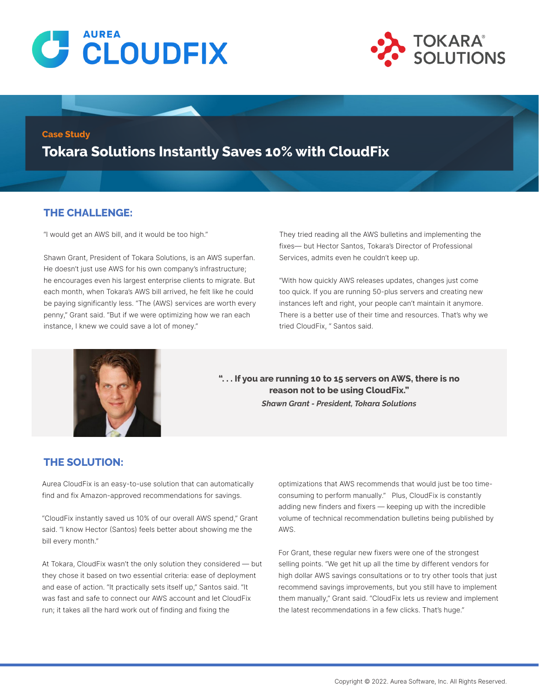



#### **Case Study**

**Tokara Solutions Instantly Saves 10% with CloudFix**

### **THE CHALLENGE:**

"I would get an AWS bill, and it would be too high."

Shawn Grant, President of Tokara Solutions, is an AWS superfan. He doesn't just use AWS for his own company's infrastructure; he encourages even his largest enterprise clients to migrate. But each month, when Tokara's AWS bill arrived, he felt like he could be paying significantly less. "The (AWS) services are worth every penny," Grant said. "But if we were optimizing how we ran each instance, I knew we could save a lot of money."

They tried reading all the AWS bulletins and implementing the fixes— but Hector Santos, Tokara's Director of Professional Services, admits even he couldn't keep up.

"With how quickly AWS releases updates, changes just come too quick. If you are running 50-plus servers and creating new instances left and right, your people can't maintain it anymore. There is a better use of their time and resources. That's why we tried CloudFix, " Santos said.



**". . . If you are running 10 to 15 servers on AWS, there is no reason not to be using CloudFix."**  *Shawn Grant - President, Tokara Solutions*

### **THE SOLUTION:**

Aurea CloudFix is an easy-to-use solution that can automatically find and fix Amazon-approved recommendations for savings.

"CloudFix instantly saved us 10% of our overall AWS spend," Grant said. "I know Hector (Santos) feels better about showing me the bill every month."

At Tokara, CloudFix wasn't the only solution they considered — but they chose it based on two essential criteria: ease of deployment and ease of action. "It practically sets itself up," Santos said. "It was fast and safe to connect our AWS account and let CloudFix run; it takes all the hard work out of finding and fixing the

optimizations that AWS recommends that would just be too timeconsuming to perform manually." Plus, CloudFix is constantly adding new finders and fixers — keeping up with the incredible volume of technical recommendation bulletins being published by AWS.

For Grant, these regular new fixers were one of the strongest selling points. "We get hit up all the time by different vendors for high dollar AWS savings consultations or to try other tools that just recommend savings improvements, but you still have to implement them manually," Grant said. "CloudFix lets us review and implement the latest recommendations in a few clicks. That's huge."